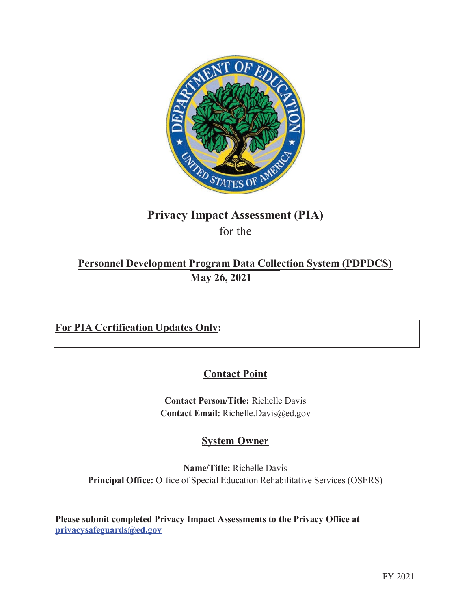

# **Privacy Impact Assessment (PIA)**

for the

**Personnel Development Program Data Collection System (PDPDCS) May 26, 2021** 

**For PIA Certification Updates Only:** 

# **Contact Point**

 **Contact Email:** [Richelle.Davis@ed.gov](mailto:Richelle.Davis@ed.gov)  **Contact Person/Title:** Richelle Davis

# **System Owner**

 **Principal Office:** Office of Special Education Rehabilitative Services (OSERS) **Name/Title:** Richelle Davis

**Please submit completed Privacy Impact Assessments to the Privacy Office at [privacysafeguards@ed.gov](mailto:privacysafeguards@ed.gov)**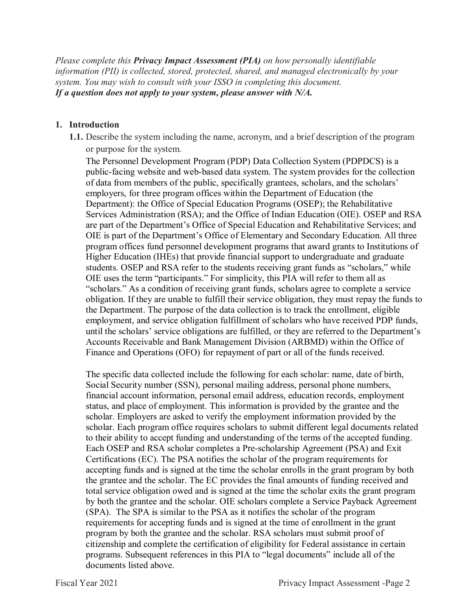*system. You may wish to consult with your ISSO in completing this document. If a question does not apply to your system, please answer with N/A. Please complete this Privacy Impact Assessment (PIA) on how personally identifiable information (PII) is collected, stored, protected, shared, and managed electronically by your* 

### **1. Introduction**

 or purpose for the system. **1.1.** Describe the system including the name, acronym, and a brief description of the program

 public-facing website and web-based data system. The system provides for the collection employers, for three program offices within the Department of Education (the OIE uses the term "participants." For simplicity, this PIA will refer to them all as the Department. The purpose of the data collection is to track the enrollment, eligible employment, and service obligation fulfillment of scholars who have received PDP funds, Finance and Operations (OFO) for repayment of part or all of the funds received. The Personnel Development Program (PDP) Data Collection System (PDPDCS) is a of data from members of the public, specifically grantees, scholars, and the scholars' Department): the Office of Special Education Programs (OSEP); the Rehabilitative Services Administration (RSA); and the Office of Indian Education (OIE). OSEP and RSA are part of the Department's Office of Special Education and Rehabilitative Services; and OIE is part of the Department's Office of Elementary and Secondary Education. All three program offices fund personnel development programs that award grants to Institutions of Higher Education (IHEs) that provide financial support to undergraduate and graduate students. OSEP and RSA refer to the students receiving grant funds as "scholars," while "scholars." As a condition of receiving grant funds, scholars agree to complete a service obligation. If they are unable to fulfill their service obligation, they must repay the funds to until the scholars' service obligations are fulfilled, or they are referred to the Department's Accounts Receivable and Bank Management Division (ARBMD) within the Office of

 scholar. Each program office requires scholars to submit different legal documents related Each OSEP and RSA scholar completes a Pre-scholarship Agreement (PSA) and Exit accepting funds and is signed at the time the scholar enrolls in the grant program by both the grantee and the scholar. The EC provides the final amounts of funding received and total service obligation owed and is signed at the time the scholar exits the grant program (SPA). The SPA is similar to the PSA as it notifies the scholar of the program requirements for accepting funds and is signed at the time of enrollment in the grant program by both the grantee and the scholar. RSA scholars must submit proof of citizenship and complete the certification of eligibility for Federal assistance in certain The specific data collected include the following for each scholar: name, date of birth, Social Security number (SSN), personal mailing address, personal phone numbers, financial account information, personal email address, education records, employment status, and place of employment. This information is provided by the grantee and the scholar. Employers are asked to verify the employment information provided by the to their ability to accept funding and understanding of the terms of the accepted funding. Certifications (EC). The PSA notifies the scholar of the program requirements for by both the grantee and the scholar. OIE scholars complete a Service Payback Agreement programs. Subsequent references in this PIA to "legal documents" include all of the documents listed above.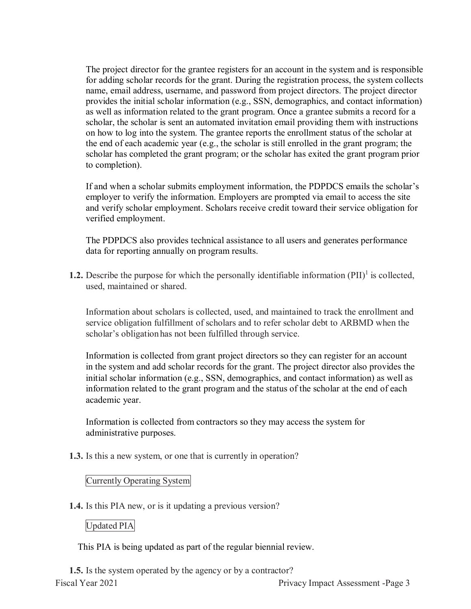provides the initial scholar information (e.g., SSN, demographics, and contact information) scholar, the scholar is sent an automated invitation email providing them with instructions on how to log into the system. The grantee reports the enrollment status of the scholar at the end of each academic year (e.g., the scholar is still enrolled in the grant program; the The project director for the grantee registers for an account in the system and is responsible for adding scholar records for the grant. During the registration process, the system collects name, email address, username, and password from project directors. The project director as well as information related to the grant program. Once a grantee submits a record for a scholar has completed the grant program; or the scholar has exited the grant program prior to completion).

 and verify scholar employment. Scholars receive credit toward their service obligation for If and when a scholar submits employment information, the PDPDCS emails the scholar's employer to verify the information. Employers are prompted via email to access the site verified employment.

The PDPDCS also provides technical assistance to all users and generates performance data for reporting annually on program results.

**1.2.** Describe the purpose for which the personally identifiable information (PII)<sup>1</sup> is collected, used, maintained or shared.

 Information about scholars is collected, used, and maintained to track the enrollment and scholar's obligationhas not been fulfilled through service. service obligation fulfillment of scholars and to refer scholar debt to ARBMD when the

 initial scholar information (e.g., SSN, demographics, and contact information) as well as Information is collected from grant project directors so they can register for an account in the system and add scholar records for the grant. The project director also provides the information related to the grant program and the status of the scholar at the end of each academic year.

 Information is collected from contractors so they may access the system for administrative purposes.

**1.3.** Is this a new system, or one that is currently in operation?

# Currently Operating System

**1.4.** Is this PIA new, or is it updating a previous version?

# Updated PIA

This PIA is being updated as part of the regular biennial review.

 **1.5.** Is the system operated by the agency or by a contractor? Fiscal Year 2021 Privacy Impact Assessment -Page 3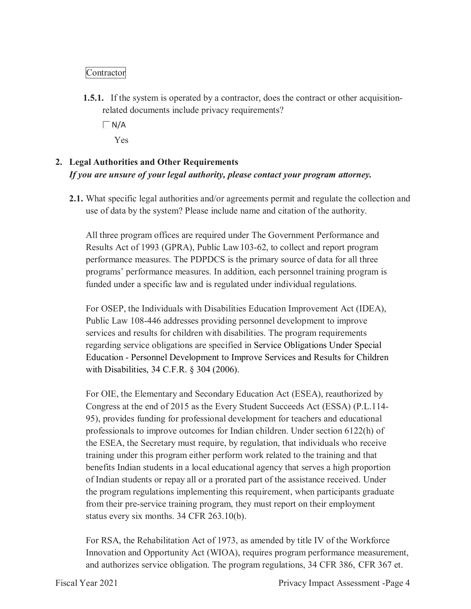# Contractor

 related documents include privacy requirements? **1.5.1.** If the system is operated by a contractor, does the contract or other acquisition-

 $\Box$  N/A

Yes

# **2. Legal Authorities and Other Requirements**   *If you are unsure of your legal authority, please contact your program attorney.*

 use of data by the system? Please include name and citation of the authority. **2.1.** What specific legal authorities and/or agreements permit and regulate the collection and

 Results Act of 1993 (GPRA), Public Law103-62, to collect and report program programs' performance measures. In addition, each personnel training program is All three program offices are required under The Government Performance and performance measures. The PDPDCS is the primary source of data for all three funded under a specific law and is regulated under individual regulations.

 For OSEP, the Individuals with Disabilities Education Improvement Act (IDEA), Public Law 108-446 addresses providing personnel development to improve services and results for children with disabilities. The program requirements regarding service obligations are specified in Service Obligations Under Special Education - Personnel Development to Improve Services and Results for Children with Disabilities, 34 C.F.R. § 304 (2006).

 For OIE, the Elementary and Secondary Education Act (ESEA), reauthorized by Congress at the end of 2015 as the Every Student Succeeds Act (ESSA) (P.L.114- benefits Indian students in a local educational agency that serves a high proportion from their pre-service training program, they must report on their employment status every six months. 34 CFR 263.10(b). 95), provides funding for professional development for teachers and educational professionals to improve outcomes for Indian children. Under section 6122(h) of the ESEA, the Secretary must require, by regulation, that individuals who receive training under this program either perform work related to the training and that of Indian students or repay all or a prorated part of the assistance received. Under the program regulations implementing this requirement, when participants graduate

status every six months. 34 CFR 263.10(b).<br>For RSA, the Rehabilitation Act of 1973, as amended by title IV of the Workforce and authorizes service obligation. The program regulations, 34 CFR 386, CFR 367 et. Innovation and Opportunity Act (WIOA), requires program performance measurement,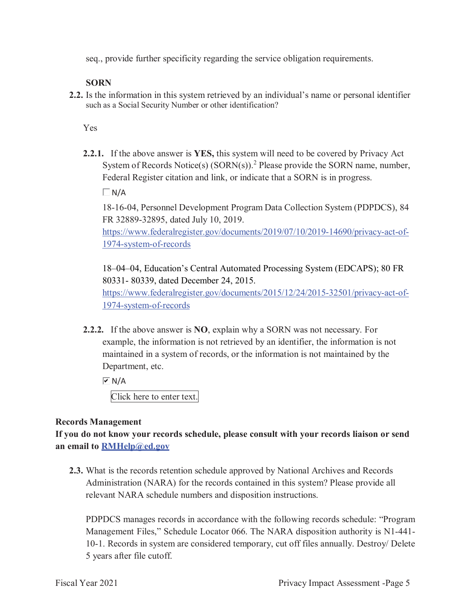seq., provide further specificity regarding the service obligation requirements.

### **SORN**

 **2.2.** Is the information in this system retrieved by an individual's name or personal identifier such as a Social Security Number or other identification?

Yes

 **2.2.1.** If the above answer is **YES,** this system will need to be covered by Privacy Act System of Records Notice(s)  $(SORN(s))$ .<sup>2</sup> Please provide the SORN name, number, Federal Register citation and link, or indicate that a SORN is in progress.

 $\Box$  N/A

 18-16-04, Personnel Development Program Data Collection System (PDPDCS), 84 FR 32889-32895, dated July 10, 2019.

[https://www.federalregister.gov/documents/2019/07/10/2019-14690/privacy-act-of-](https://www.federalregister.gov/documents/2019/07/10/2019-14690/privacy-act-of)1974-system-of-records

 18–04–04, Education's Central Automated Processing System (EDCAPS); 80 FR 80331- 80339, dated December 24, 2015. [https://www.federalregister.gov/documents/2015/12/24/2015-32501/privacy-act-of-](https://www.federalregister.gov/documents/2015/12/24/2015-32501/privacy-act-of)1974-system-of-records

 **2.2.2.** If the above answer is **NO**, explain why a SORN was not necessary. For example, the information is not retrieved by an identifier, the information is not maintained in a system of records, or the information is not maintained by the Department, etc.

 $\overline{M}$  N/A

Click here to enter text.

# **Records Management**

 **an email to [RMHelp@ed.gov](mailto:RMHelp@ed.gov)  If you do not know your records schedule, please consult with your records liaison or send** 

 **2.3.** What is the records retention schedule approved by National Archives and Records relevant NARA schedule numbers and disposition instructions. Administration (NARA) for the records contained in this system? Please provide all

 10-1. Records in system are considered temporary, cut off files annually. Destroy/ Delete 5 years after file cutoff. PDPDCS manages records in accordance with the following records schedule: "Program Management Files," Schedule Locator 066. The NARA disposition authority is N1-441-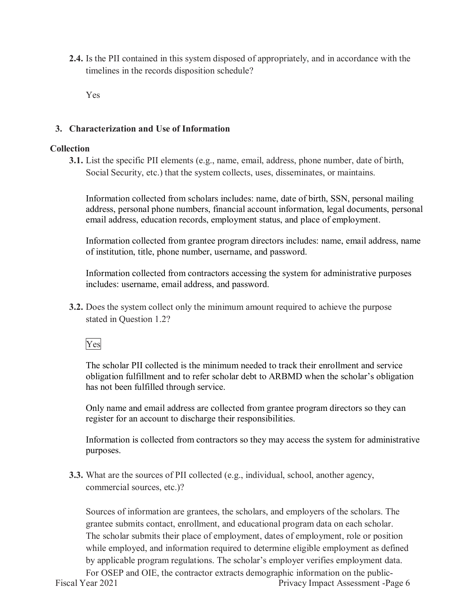timelines in the records disposition schedule? **2.4.** Is the PII contained in this system disposed of appropriately, and in accordance with the

Yes

# **3. Characterization and Use of Information**

# **Collection**

 Social Security, etc.) that the system collects, uses, disseminates, or maintains. **3.1.** List the specific PII elements (e.g., name, email, address, phone number, date of birth,

Information collected from scholars includes: name, date of birth, SSN, personal mailing address, personal phone numbers, financial account information, legal documents, personal email address, education records, employment status, and place of employment.

 Information collected from grantee program directors includes: name, email address, name of institution, title, phone number, username, and password.

Information collected from contractors accessing the system for administrative purposes includes: username, email address, and password.

 stated in Question 1.2? **3.2.** Does the system collect only the minimum amount required to achieve the purpose

Yes

 The scholar PII collected is the minimum needed to track their enrollment and service obligation fulfillment and to refer scholar debt to ARBMD when the scholar's obligation has not been fulfilled through service.

 Only name and email address are collected from grantee program directors so they can register for an account to discharge their responsibilities.

register for an account to discharge their responsibilities.<br>Information is collected from contractors so they may access the system for administrative purposes.

 commercial sources, etc.)? **3.3.** What are the sources of PII collected (e.g., individual, school, another agency,

 The scholar submits their place of employment, dates of employment, role or position by applicable program regulations. The scholar's employer verifies employment data. Sources of information are grantees, the scholars, and employers of the scholars. The grantee submits contact, enrollment, and educational program data on each scholar. while employed, and information required to determine eligible employment as defined For OSEP and OIE, the contractor extracts demographic information on the public-<br>Fiscal Year 2021<br>Privacy Impact Assessment -Pa Privacy Impact Assessment -Page 6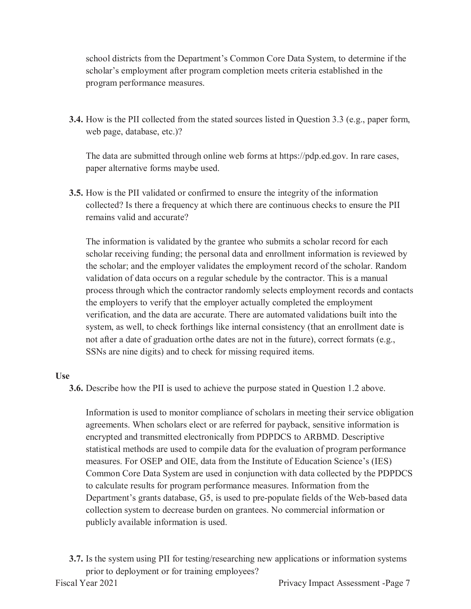school districts from the Department's Common Core Data System, to determine if the scholar's employment after program completion meets criteria established in the program performance measures.

**3.4.** How is the PII collected from the stated sources listed in Question 3.3 (e.g., paper form, web page, database, etc.)?

 The data are submitted through online web forms at [https://pdp.ed.gov.](https://pdp.ed.gov) In rare cases, paper alternative forms maybe used.

 remains valid and accurate? **3.5.** How is the PII validated or confirmed to ensure the integrity of the information collected? Is there a frequency at which there are continuous checks to ensure the PII

 The information is validated by the grantee who submits a scholar record for each scholar receiving funding; the personal data and enrollment information is reviewed by verification, and the data are accurate. There are automated validations built into the system, as well, to check forthings like internal consistency (that an enrollment date is not after a date of graduation orthe dates are not in the future), correct formats (e.g., SSNs are nine digits) and to check for missing required items. the scholar; and the employer validates the employment record of the scholar. Random validation of data occurs on a regular schedule by the contractor. This is a manual process through which the contractor randomly selects employment records and contacts the employers to verify that the employer actually completed the employment

#### **Use**

**3.6.** Describe how the PII is used to achieve the purpose stated in Question 1.2 above.

 Information is used to monitor compliance of scholars in meeting their service obligation agreements. When scholars elect or are referred for payback, sensitive information is Common Core Data System are used in conjunction with data collected by the PDPDCS collection system to decrease burden on grantees. No commercial information or encrypted and transmitted electronically from PDPDCS to ARBMD. Descriptive statistical methods are used to compile data for the evaluation of program performance measures. For OSEP and OIE, data from the Institute of Education Science's (IES) to calculate results for program performance measures. Information from the Department's grants database, G5, is used to pre-populate fields of the Web-based data publicly available information is used.

 prior to deployment or for training employees? **3.7.** Is the system using PII for testing/researching new applications or information systems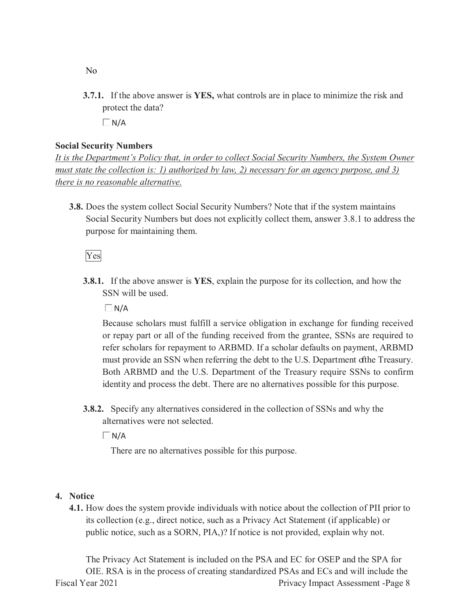**3.7.1.** If the above answer is **YES,** what controls are in place to minimize the risk and protect the data?

 $\Box N/A$ 

#### **Social Security Numbers**

 *there is no reasonable alternative. It is the Department's Policy that, in order to collect Social Security Numbers, the System Owner must state the collection is: 1) authorized by law, 2) necessary for an agency purpose, and 3)* 

 purpose for maintaining them. **3.8.** Does the system collect Social Security Numbers? Note that if the system maintains Social Security Numbers but does not explicitly collect them, answer 3.8.1 to address the

Yes

 **3.8.1.** If the above answer is **YES**, explain the purpose for its collection, and how the SSN will be used.

 $\Box$  N/A

 or repay part or all of the funding received from the grantee, SSNs are required to refer scholars for repayment to ARBMD. If a scholar defaults on payment, ARBMD must provide an SSN when referring the debt to the U.S. Department ofthe Treasury. Both ARBMD and the U.S. Department of the Treasury require SSNs to confirm Because scholars must fulfill a service obligation in exchange for funding received identity and process the debt. There are no alternatives possible for this purpose.

 alternatives were not selected. **3.8.2.** Specify any alternatives considered in the collection of SSNs and why the

 $\Box$ N/A

There are no alternatives possible for this purpose.

#### **4. Notice**

 public notice, such as a SORN, PIA,)? If notice is not provided, explain why not. **4.1.** How does the system provide individuals with notice about the collection of PII prior to its collection (e.g., direct notice, such as a Privacy Act Statement (if applicable) or

 The Privacy Act Statement is included on the PSA and EC for OSEP and the SPA for OIE. RSA is in the process of creating standardized PSAs and ECs and will include the Fiscal Year 2021 Privacy Impact Assessment -Page 8

No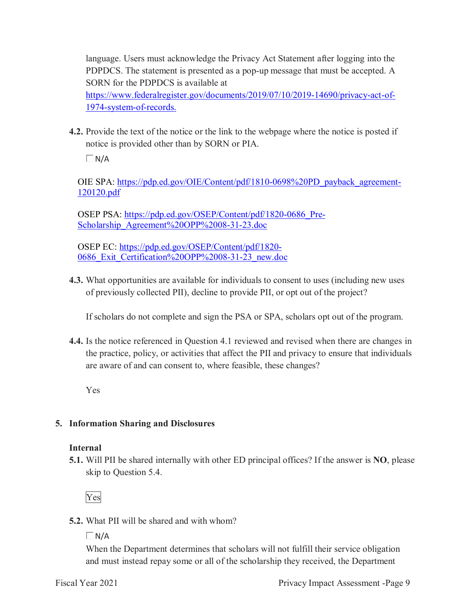language. Users must acknowledge the Privacy Act Statement after logging into the PDPDCS. The statement is presented as a pop-up message that must be accepted. A SORN for the PDPDCS is available at

[https://www.federalregister.gov/documents/2019/07/10/2019-14690/privacy-act-of-](https://www.federalregister.gov/documents/2019/07/10/2019-14690/privacy-act-of)1974-system-of-records.

 **4.2.** Provide the text of the notice or the link to the webpage where the notice is posted if notice is provided other than by SORN or PIA.

 $\Box$  N/A

OIE SPA: [https://pdp.ed.gov/OIE/Content/pdf/1810-0698%20PD\\_payback\\_agreement](https://pdp.ed.gov/OIE/Content/pdf/1810-0698%20PD_payback_agreement)-120120.pdf

Scholarship Agreement%20OPP%2008-31-23.doc OSEP PSA: [https://pdp.ed.gov/OSEP/Content/pdf/1820-0686\\_Pre](https://pdp.ed.gov/OSEP/Content/pdf/1820-0686_Pre)-

 0686\_Exit\_Certification%20OPP%2008-31-23\_new.doc OSEP EC:<https://pdp.ed.gov/OSEP/Content/pdf/1820>-

 **4.3.** What opportunities are available for individuals to consent to uses (including new uses of previously collected PII), decline to provide PII, or opt out of the project?

If scholars do not complete and sign the PSA or SPA, scholars opt out of the program.

**4.4.** Is the notice referenced in Question 4.1 reviewed and revised when there are changes in the practice, policy, or activities that affect the PII and privacy to ensure that individuals are aware of and can consent to, where feasible, these changes?

Yes

# **5. Information Sharing and Disclosures**

# **Internal**

 **5.1.** Will PII be shared internally with other ED principal offices? If the answer is **NO**, please skip to Question 5.4.

Yes

**5.2.** What PII will be shared and with whom?

 $\Box$  N/A

When the Department determines that scholars will not fulfill their service obligation and must instead repay some or all of the scholarship they received, the Department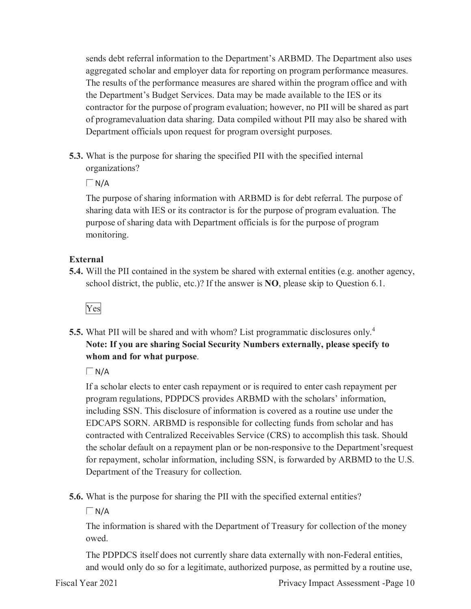the Department's Budget Services. Data may be made available to the IES or its contractor for the purpose of program evaluation; however, no PII will be shared as part of programevaluation data sharing. Data compiled without PII may also be shared with Department officials upon request for program oversight purposes. sends debt referral information to the Department's ARBMD. The Department also uses aggregated scholar and employer data for reporting on program performance measures. The results of the performance measures are shared within the program office and with

**5.3.** What is the purpose for sharing the specified PII with the specified internal organizations?

 $\Box N/A$ 

 The purpose of sharing information with ARBMD is for debt referral. The purpose of sharing data with IES or its contractor is for the purpose of program evaluation. The purpose of sharing data with Department officials is for the purpose of program monitoring.

#### **External**

 school district, the public, etc.)? If the answer is **NO**, please skip to Question 6.1. **5.4.** Will the PII contained in the system be shared with external entities (e.g. another agency,

Yes

 **Note: If you are sharing Social Security Numbers externally, please specify to whom and for what purpose**. **5.5.** What PII will be shared and with whom? List programmatic disclosures only.<sup>4</sup>

 $\Box$  N/A

 program regulations, PDPDCS provides ARBMD with the scholars' information, including SSN. This disclosure of information is covered as a routine use under the EDCAPS SORN. ARBMD is responsible for collecting funds from scholar and has for repayment, scholar information, including SSN, is forwarded by ARBMD to the U.S. If a scholar elects to enter cash repayment or is required to enter cash repayment per contracted with Centralized Receivables Service (CRS) to accomplish this task. Should the scholar default on a repayment plan or be non-responsive to the Department'srequest Department of the Treasury for collection.

**5.6.** What is the purpose for sharing the PII with the specified external entities?

 $\Box$  N/A

 The information is shared with the Department of Treasury for collection of the money owed.

The PDPDCS itself does not currently share data externally with non-Federal entities, and would only do so for a legitimate, authorized purpose, as permitted by a routine use,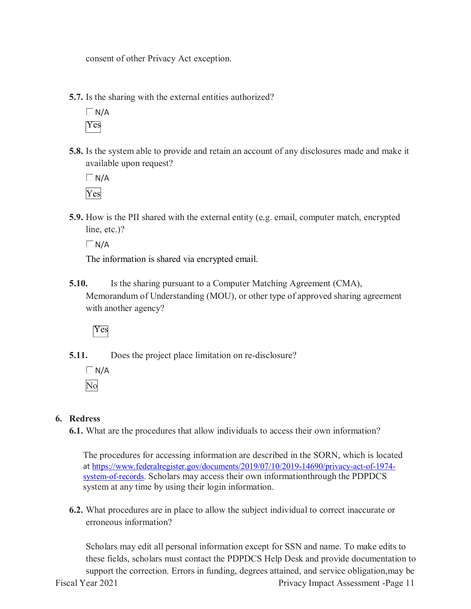consent of other Privacy Act exception.

**5.7.** Is the sharing with the external entities authorized?

 $\Box$  N/A Yes

 **5.8.** Is the system able to provide and retain an account of any disclosures made and make it available upon request?

 $\Box$ N/A Yes

 **5.9.** How is the PII shared with the external entity (e.g. email, computer match, encrypted line, etc.)?

 $\Box$ N/A

The information is shared via encrypted email.

 Memorandum of Understanding (MOU), or other type of approved sharing agreement **5.10.** Is the sharing pursuant to a Computer Matching Agreement (CMA), with another agency?

Yes

**5.11.** Does the project place limitation on re-disclosure?

 $\Box$  N/A No

# **6. Redress**

**6.1.** What are the procedures that allow individuals to access their own information?

system-of-records. Scholars may access their own informationthrough the PDPDCS system at any time by using their login information. The procedures for accessing information are described in the SORN, which is located at [https://www.federalregister.gov/documents/2019/07/10/2019-14690/privacy-act-of-1974-](https://www.federalregister.gov/documents/2019/07/10/2019-14690/privacy-act-of-1974)

**6.2.** What procedures are in place to allow the subject individual to correct inaccurate or erroneous information?

 these fields, scholars must contact the PDPDCS Help Desk and provide documentation to Scholars may edit all personal information except for SSN and name. To make edits to support the correction. Errors in funding, degrees attained, and service obligation,may be Fiscal Year 2021 **Privacy Impact Assessment -Page 11**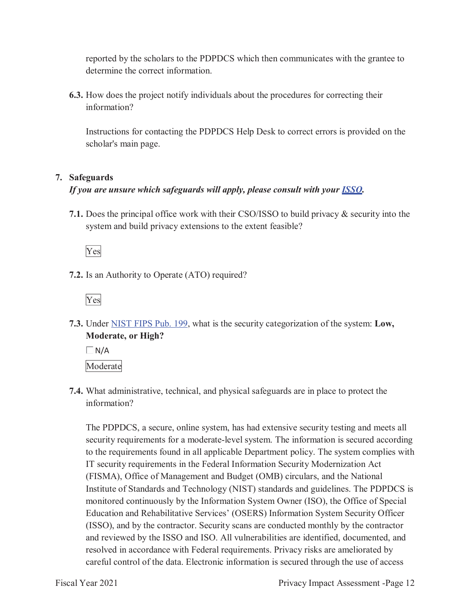reported by the scholars to the PDPDCS which then communicates with the grantee to determine the correct information.

 **6.3.** How does the project notify individuals about the procedures for correcting their information?

Instructions for contacting the PDPDCS Help Desk to correct errors is provided on the scholar's main page.

# **7. Safeguards**

# *If you are unsure which safeguards will apply, please consult with your ISSO.*

 **7.1.** Does the principal office work with their CSO/ISSO to build privacy & security into the system and build privacy extensions to the extent feasible?

Yes

**7.2.** Is an Authority to Operate (ATO) required?

Yes

**7.3.** Under NIST FIPS Pub. 199, what is the security categorization of the system: **Low, Moderate, or High?** 

 $\Box N/A$ 

Moderate

**7.4.** What administrative, technical, and physical safeguards are in place to protect the information?

 The PDPDCS, a secure, online system, has had extensive security testing and meets all monitored continuously by the Information System Owner (ISO), the Office of Special Education and Rehabilitative Services' (OSERS) Information System Security Officer (ISSO), and by the contractor. Security scans are conducted monthly by the contractor security requirements for a moderate-level system. The information is secured according to the requirements found in all applicable Department policy. The system complies with IT security requirements in the Federal Information Security Modernization Act (FISMA), Office of Management and Budget (OMB) circulars, and the National Institute of Standards and Technology (NIST) standards and guidelines. The PDPDCS is and reviewed by the ISSO and ISO. All vulnerabilities are identified, documented, and resolved in accordance with Federal requirements. Privacy risks are ameliorated by careful control of the data. Electronic information is secured through the use of access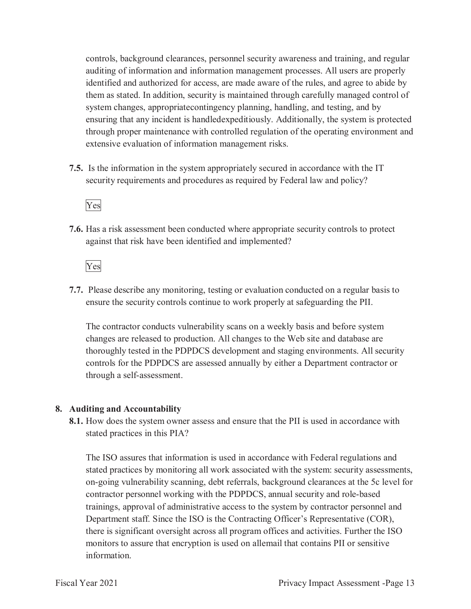them as stated. In addition, security is maintained through carefully managed control of extensive evaluation of information management risks. controls, background clearances, personnel security awareness and training, and regular auditing of information and information management processes. All users are properly identified and authorized for access, are made aware of the rules, and agree to abide by system changes, appropriatecontingency planning, handling, and testing, and by ensuring that any incident is handledexpeditiously. Additionally, the system is protected through proper maintenance with controlled regulation of the operating environment and

 security requirements and procedures as required by Federal law and policy? **7.5.** Is the information in the system appropriately secured in accordance with the IT

Yes

 **7.6.** Has a risk assessment been conducted where appropriate security controls to protect against that risk have been identified and implemented?

Yes

 **7.7.** Please describe any monitoring, testing or evaluation conducted on a regular basis to ensure the security controls continue to work properly at safeguarding the PII.

 The contractor conducts vulnerability scans on a weekly basis and before system changes are released to production. All changes to the Web site and database are thoroughly tested in the PDPDCS development and staging environments. All security controls for the PDPDCS are assessed annually by either a Department contractor or through a self-assessment.

#### **8. Auditing and Accountability**

 stated practices in this PIA? **8.1.** How does the system owner assess and ensure that the PII is used in accordance with

 The ISO assures that information is used in accordance with Federal regulations and stated practices by monitoring all work associated with the system: security assessments, on-going vulnerability scanning, debt referrals, background clearances at the 5c level for contractor personnel working with the PDPDCS, annual security and role-based there is significant oversight across all program offices and activities. Further the ISO monitors to assure that encryption is used on allemail that contains PII or sensitive trainings, approval of administrative access to the system by contractor personnel and Department staff. Since the ISO is the Contracting Officer's Representative (COR), information.